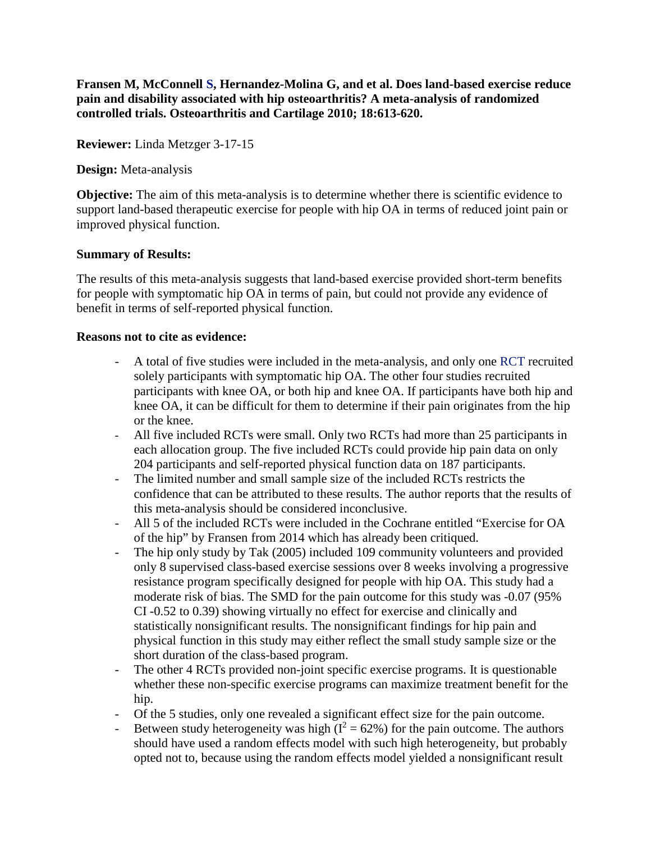**Fransen M, McConnell S, Hernandez-Molina G, and et al. Does land-based exercise reduce pain and disability associated with hip osteoarthritis? A meta-analysis of randomized controlled trials. Osteoarthritis and Cartilage 2010; 18:613-620.**

**Reviewer:** Linda Metzger 3-17-15

**Design:** Meta-analysis

**Objective:** The aim of this meta-analysis is to determine whether there is scientific evidence to support land-based therapeutic exercise for people with hip OA in terms of reduced joint pain or improved physical function.

## **Summary of Results:**

The results of this meta-analysis suggests that land-based exercise provided short-term benefits for people with symptomatic hip OA in terms of pain, but could not provide any evidence of benefit in terms of self-reported physical function.

## **Reasons not to cite as evidence:**

- A total of five studies were included in the meta-analysis, and only one RCT recruited solely participants with symptomatic hip OA. The other four studies recruited participants with knee OA, or both hip and knee OA. If participants have both hip and knee OA, it can be difficult for them to determine if their pain originates from the hip or the knee.
- All five included RCTs were small. Only two RCTs had more than 25 participants in each allocation group. The five included RCTs could provide hip pain data on only 204 participants and self-reported physical function data on 187 participants.
- The limited number and small sample size of the included RCTs restricts the confidence that can be attributed to these results. The author reports that the results of this meta-analysis should be considered inconclusive.
- All 5 of the included RCTs were included in the Cochrane entitled "Exercise for OA of the hip" by Fransen from 2014 which has already been critiqued.
- The hip only study by Tak (2005) included 109 community volunteers and provided only 8 supervised class-based exercise sessions over 8 weeks involving a progressive resistance program specifically designed for people with hip OA. This study had a moderate risk of bias. The SMD for the pain outcome for this study was -0.07 (95% CI -0.52 to 0.39) showing virtually no effect for exercise and clinically and statistically nonsignificant results. The nonsignificant findings for hip pain and physical function in this study may either reflect the small study sample size or the short duration of the class-based program.
- The other 4 RCTs provided non-joint specific exercise programs. It is questionable whether these non-specific exercise programs can maximize treatment benefit for the hip.
- Of the 5 studies, only one revealed a significant effect size for the pain outcome.
- Between study heterogeneity was high  $(I^2 = 62\%)$  for the pain outcome. The authors should have used a random effects model with such high heterogeneity, but probably opted not to, because using the random effects model yielded a nonsignificant result